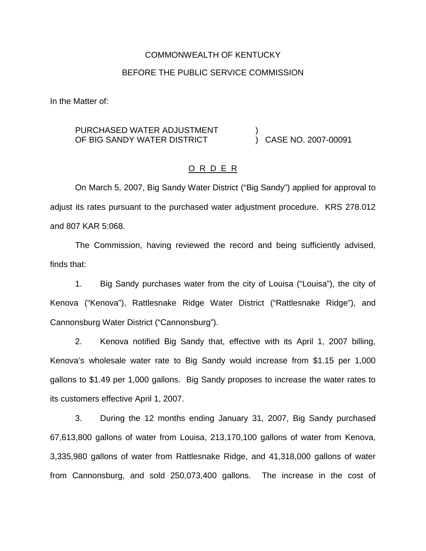# COMMONWEALTH OF KENTUCKY BEFORE THE PUBLIC SERVICE COMMISSION

In the Matter of:

#### PURCHASED WATER ADJUSTMENT OF BIG SANDY WATER DISTRICT ) ) CASE NO. 2007-00091

## O R D E R

On March 5, 2007, Big Sandy Water District ("Big Sandy") applied for approval to adjust its rates pursuant to the purchased water adjustment procedure. KRS 278.012 and 807 KAR 5:068.

The Commission, having reviewed the record and being sufficiently advised, finds that:

1. Big Sandy purchases water from the city of Louisa ("Louisa"), the city of Kenova ("Kenova"), Rattlesnake Ridge Water District ("Rattlesnake Ridge"), and Cannonsburg Water District ("Cannonsburg").

2. Kenova notified Big Sandy that, effective with its April 1, 2007 billing, Kenova's wholesale water rate to Big Sandy would increase from \$1.15 per 1,000 gallons to \$1.49 per 1,000 gallons. Big Sandy proposes to increase the water rates to its customers effective April 1, 2007.

3. During the 12 months ending January 31, 2007, Big Sandy purchased 67,613,800 gallons of water from Louisa, 213,170,100 gallons of water from Kenova, 3,335,980 gallons of water from Rattlesnake Ridge, and 41,318,000 gallons of water from Cannonsburg, and sold 250,073,400 gallons. The increase in the cost of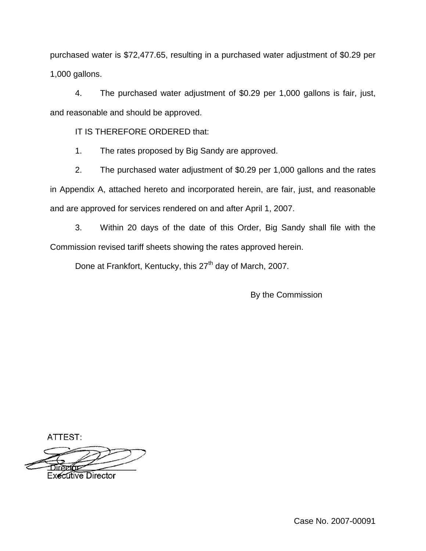purchased water is \$72,477.65, resulting in a purchased water adjustment of \$0.29 per 1,000 gallons.

4. The purchased water adjustment of \$0.29 per 1,000 gallons is fair, just, and reasonable and should be approved.

IT IS THEREFORE ORDERED that:

1. The rates proposed by Big Sandy are approved.

2. The purchased water adjustment of \$0.29 per 1,000 gallons and the rates in Appendix A, attached hereto and incorporated herein, are fair, just, and reasonable and are approved for services rendered on and after April 1, 2007.

3. Within 20 days of the date of this Order, Big Sandy shall file with the Commission revised tariff sheets showing the rates approved herein.

Done at Frankfort, Kentucky, this 27<sup>th</sup> day of March, 2007.

By the Commission

ATTEST:

Executive Director

Case No. 2007-00091